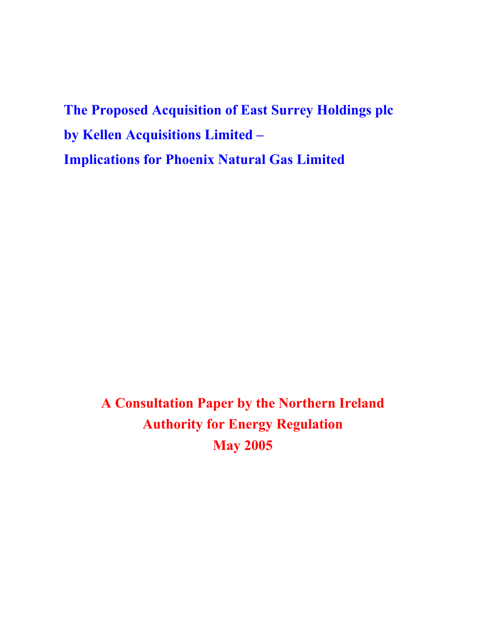**The Proposed Acquisition of East Surrey Holdings plc by Kellen Acquisitions Limited – Implications for Phoenix Natural Gas Limited**

> **A Consultation Paper by the Northern Ireland Authority for Energy Regulation May 2005**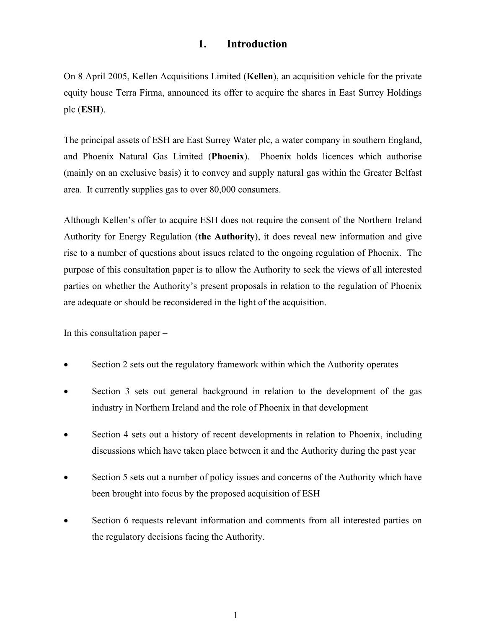## **1. Introduction**

On 8 April 2005, Kellen Acquisitions Limited (**Kellen**), an acquisition vehicle for the private equity house Terra Firma, announced its offer to acquire the shares in East Surrey Holdings plc (**ESH**).

The principal assets of ESH are East Surrey Water plc, a water company in southern England, and Phoenix Natural Gas Limited (**Phoenix**). Phoenix holds licences which authorise (mainly on an exclusive basis) it to convey and supply natural gas within the Greater Belfast area. It currently supplies gas to over 80,000 consumers.

Although Kellen's offer to acquire ESH does not require the consent of the Northern Ireland Authority for Energy Regulation (**the Authority**), it does reveal new information and give rise to a number of questions about issues related to the ongoing regulation of Phoenix. The purpose of this consultation paper is to allow the Authority to seek the views of all interested parties on whether the Authority's present proposals in relation to the regulation of Phoenix are adequate or should be reconsidered in the light of the acquisition.

In this consultation paper –

- Section 2 sets out the regulatory framework within which the Authority operates
- Section 3 sets out general background in relation to the development of the gas industry in Northern Ireland and the role of Phoenix in that development
- Section 4 sets out a history of recent developments in relation to Phoenix, including discussions which have taken place between it and the Authority during the past year
- Section 5 sets out a number of policy issues and concerns of the Authority which have been brought into focus by the proposed acquisition of ESH
- Section 6 requests relevant information and comments from all interested parties on the regulatory decisions facing the Authority.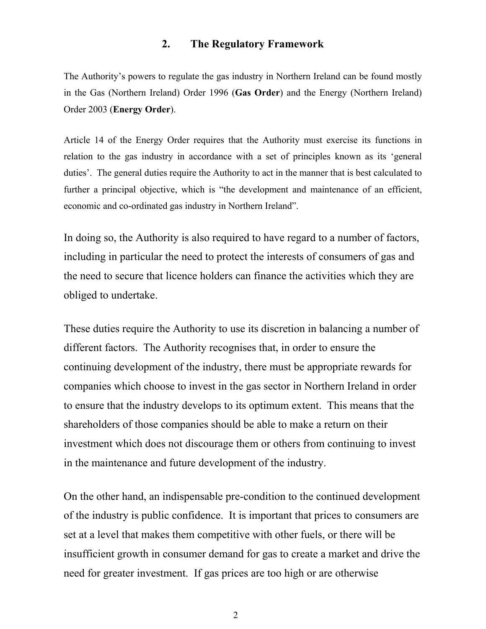### **2. The Regulatory Framework**

The Authority's powers to regulate the gas industry in Northern Ireland can be found mostly in the Gas (Northern Ireland) Order 1996 (**Gas Order**) and the Energy (Northern Ireland) Order 2003 (**Energy Order**).

Article 14 of the Energy Order requires that the Authority must exercise its functions in relation to the gas industry in accordance with a set of principles known as its 'general duties'. The general duties require the Authority to act in the manner that is best calculated to further a principal objective, which is "the development and maintenance of an efficient, economic and co-ordinated gas industry in Northern Ireland".

In doing so, the Authority is also required to have regard to a number of factors, including in particular the need to protect the interests of consumers of gas and the need to secure that licence holders can finance the activities which they are obliged to undertake.

These duties require the Authority to use its discretion in balancing a number of different factors. The Authority recognises that, in order to ensure the continuing development of the industry, there must be appropriate rewards for companies which choose to invest in the gas sector in Northern Ireland in order to ensure that the industry develops to its optimum extent. This means that the shareholders of those companies should be able to make a return on their investment which does not discourage them or others from continuing to invest in the maintenance and future development of the industry.

On the other hand, an indispensable pre-condition to the continued development of the industry is public confidence. It is important that prices to consumers are set at a level that makes them competitive with other fuels, or there will be insufficient growth in consumer demand for gas to create a market and drive the need for greater investment. If gas prices are too high or are otherwise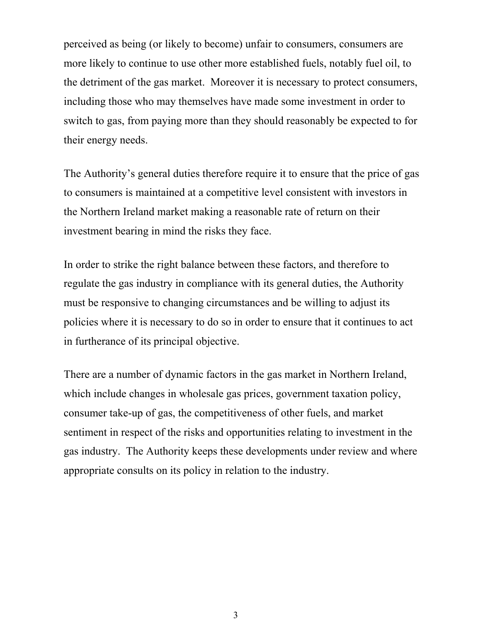perceived as being (or likely to become) unfair to consumers, consumers are more likely to continue to use other more established fuels, notably fuel oil, to the detriment of the gas market. Moreover it is necessary to protect consumers, including those who may themselves have made some investment in order to switch to gas, from paying more than they should reasonably be expected to for their energy needs.

The Authority's general duties therefore require it to ensure that the price of gas to consumers is maintained at a competitive level consistent with investors in the Northern Ireland market making a reasonable rate of return on their investment bearing in mind the risks they face.

In order to strike the right balance between these factors, and therefore to regulate the gas industry in compliance with its general duties, the Authority must be responsive to changing circumstances and be willing to adjust its policies where it is necessary to do so in order to ensure that it continues to act in furtherance of its principal objective.

There are a number of dynamic factors in the gas market in Northern Ireland, which include changes in wholesale gas prices, government taxation policy, consumer take-up of gas, the competitiveness of other fuels, and market sentiment in respect of the risks and opportunities relating to investment in the gas industry. The Authority keeps these developments under review and where appropriate consults on its policy in relation to the industry.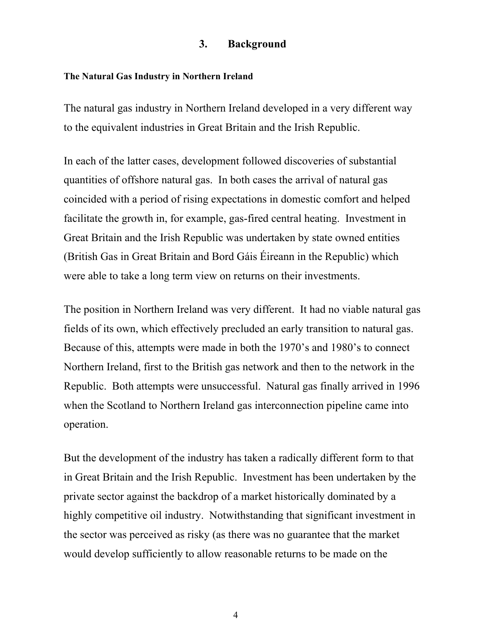## **3. Background**

#### **The Natural Gas Industry in Northern Ireland**

The natural gas industry in Northern Ireland developed in a very different way to the equivalent industries in Great Britain and the Irish Republic.

In each of the latter cases, development followed discoveries of substantial quantities of offshore natural gas. In both cases the arrival of natural gas coincided with a period of rising expectations in domestic comfort and helped facilitate the growth in, for example, gas-fired central heating. Investment in Great Britain and the Irish Republic was undertaken by state owned entities (British Gas in Great Britain and Bord Gáis Éireann in the Republic) which were able to take a long term view on returns on their investments.

The position in Northern Ireland was very different. It had no viable natural gas fields of its own, which effectively precluded an early transition to natural gas. Because of this, attempts were made in both the 1970's and 1980's to connect Northern Ireland, first to the British gas network and then to the network in the Republic. Both attempts were unsuccessful. Natural gas finally arrived in 1996 when the Scotland to Northern Ireland gas interconnection pipeline came into operation.

But the development of the industry has taken a radically different form to that in Great Britain and the Irish Republic. Investment has been undertaken by the private sector against the backdrop of a market historically dominated by a highly competitive oil industry. Notwithstanding that significant investment in the sector was perceived as risky (as there was no guarantee that the market would develop sufficiently to allow reasonable returns to be made on the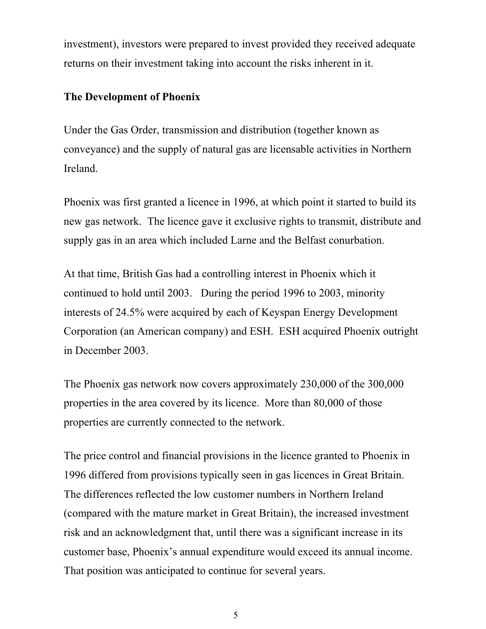investment), investors were prepared to invest provided they received adequate returns on their investment taking into account the risks inherent in it.

# **The Development of Phoenix**

Under the Gas Order, transmission and distribution (together known as conveyance) and the supply of natural gas are licensable activities in Northern Ireland.

Phoenix was first granted a licence in 1996, at which point it started to build its new gas network. The licence gave it exclusive rights to transmit, distribute and supply gas in an area which included Larne and the Belfast conurbation.

At that time, British Gas had a controlling interest in Phoenix which it continued to hold until 2003. During the period 1996 to 2003, minority interests of 24.5% were acquired by each of Keyspan Energy Development Corporation (an American company) and ESH. ESH acquired Phoenix outright in December 2003.

The Phoenix gas network now covers approximately 230,000 of the 300,000 properties in the area covered by its licence. More than 80,000 of those properties are currently connected to the network.

The price control and financial provisions in the licence granted to Phoenix in 1996 differed from provisions typically seen in gas licences in Great Britain. The differences reflected the low customer numbers in Northern Ireland (compared with the mature market in Great Britain), the increased investment risk and an acknowledgment that, until there was a significant increase in its customer base, Phoenix's annual expenditure would exceed its annual income. That position was anticipated to continue for several years.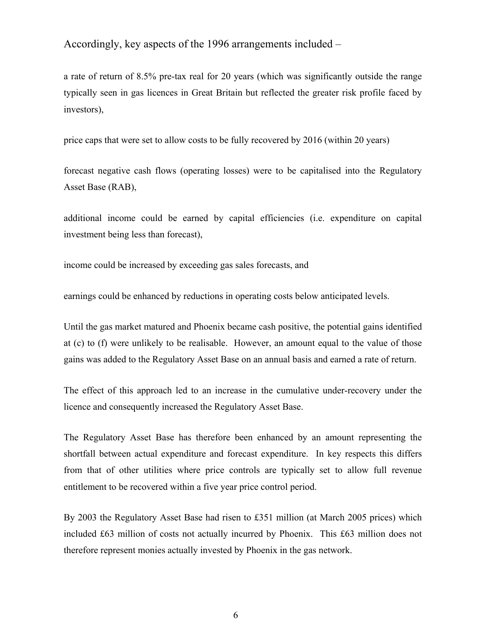Accordingly, key aspects of the 1996 arrangements included –

a rate of return of 8.5% pre-tax real for 20 years (which was significantly outside the range typically seen in gas licences in Great Britain but reflected the greater risk profile faced by investors),

price caps that were set to allow costs to be fully recovered by 2016 (within 20 years)

forecast negative cash flows (operating losses) were to be capitalised into the Regulatory Asset Base (RAB),

additional income could be earned by capital efficiencies (i.e. expenditure on capital investment being less than forecast),

income could be increased by exceeding gas sales forecasts, and

earnings could be enhanced by reductions in operating costs below anticipated levels.

Until the gas market matured and Phoenix became cash positive, the potential gains identified at (c) to (f) were unlikely to be realisable. However, an amount equal to the value of those gains was added to the Regulatory Asset Base on an annual basis and earned a rate of return.

The effect of this approach led to an increase in the cumulative under-recovery under the licence and consequently increased the Regulatory Asset Base.

The Regulatory Asset Base has therefore been enhanced by an amount representing the shortfall between actual expenditure and forecast expenditure. In key respects this differs from that of other utilities where price controls are typically set to allow full revenue entitlement to be recovered within a five year price control period.

By 2003 the Regulatory Asset Base had risen to £351 million (at March 2005 prices) which included £63 million of costs not actually incurred by Phoenix. This £63 million does not therefore represent monies actually invested by Phoenix in the gas network.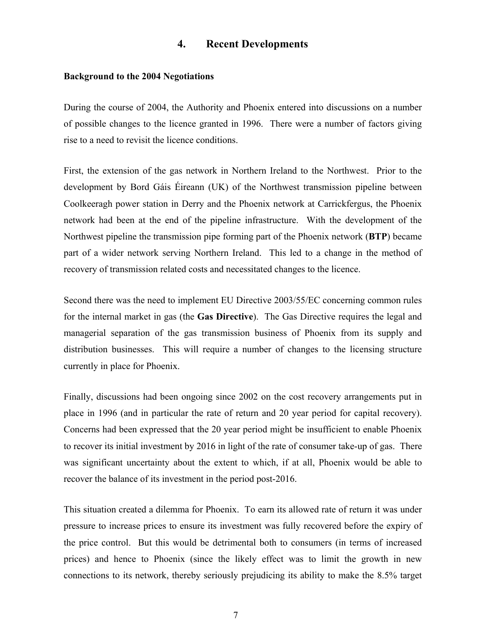### **4. Recent Developments**

#### **Background to the 2004 Negotiations**

During the course of 2004, the Authority and Phoenix entered into discussions on a number of possible changes to the licence granted in 1996. There were a number of factors giving rise to a need to revisit the licence conditions.

First, the extension of the gas network in Northern Ireland to the Northwest. Prior to the development by Bord Gáis Éireann (UK) of the Northwest transmission pipeline between Coolkeeragh power station in Derry and the Phoenix network at Carrickfergus, the Phoenix network had been at the end of the pipeline infrastructure. With the development of the Northwest pipeline the transmission pipe forming part of the Phoenix network (**BTP**) became part of a wider network serving Northern Ireland. This led to a change in the method of recovery of transmission related costs and necessitated changes to the licence.

Second there was the need to implement EU Directive 2003/55/EC concerning common rules for the internal market in gas (the **Gas Directive**). The Gas Directive requires the legal and managerial separation of the gas transmission business of Phoenix from its supply and distribution businesses. This will require a number of changes to the licensing structure currently in place for Phoenix.

Finally, discussions had been ongoing since 2002 on the cost recovery arrangements put in place in 1996 (and in particular the rate of return and 20 year period for capital recovery). Concerns had been expressed that the 20 year period might be insufficient to enable Phoenix to recover its initial investment by 2016 in light of the rate of consumer take-up of gas. There was significant uncertainty about the extent to which, if at all, Phoenix would be able to recover the balance of its investment in the period post-2016.

This situation created a dilemma for Phoenix. To earn its allowed rate of return it was under pressure to increase prices to ensure its investment was fully recovered before the expiry of the price control. But this would be detrimental both to consumers (in terms of increased prices) and hence to Phoenix (since the likely effect was to limit the growth in new connections to its network, thereby seriously prejudicing its ability to make the 8.5% target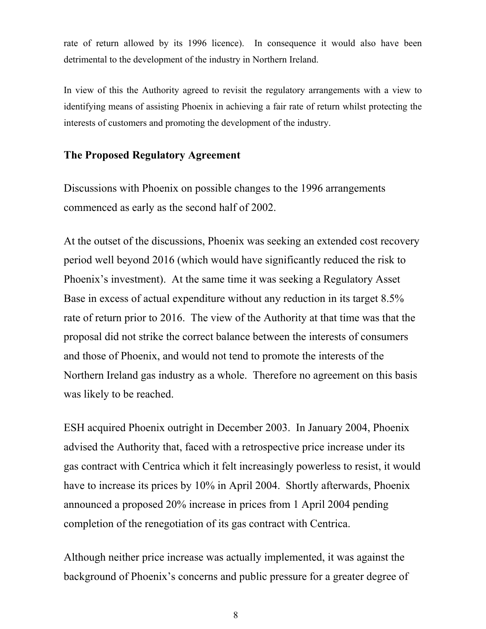rate of return allowed by its 1996 licence). In consequence it would also have been detrimental to the development of the industry in Northern Ireland.

In view of this the Authority agreed to revisit the regulatory arrangements with a view to identifying means of assisting Phoenix in achieving a fair rate of return whilst protecting the interests of customers and promoting the development of the industry.

# **The Proposed Regulatory Agreement**

Discussions with Phoenix on possible changes to the 1996 arrangements commenced as early as the second half of 2002.

At the outset of the discussions, Phoenix was seeking an extended cost recovery period well beyond 2016 (which would have significantly reduced the risk to Phoenix's investment). At the same time it was seeking a Regulatory Asset Base in excess of actual expenditure without any reduction in its target 8.5% rate of return prior to 2016. The view of the Authority at that time was that the proposal did not strike the correct balance between the interests of consumers and those of Phoenix, and would not tend to promote the interests of the Northern Ireland gas industry as a whole. Therefore no agreement on this basis was likely to be reached.

ESH acquired Phoenix outright in December 2003. In January 2004, Phoenix advised the Authority that, faced with a retrospective price increase under its gas contract with Centrica which it felt increasingly powerless to resist, it would have to increase its prices by 10% in April 2004. Shortly afterwards, Phoenix announced a proposed 20% increase in prices from 1 April 2004 pending completion of the renegotiation of its gas contract with Centrica.

Although neither price increase was actually implemented, it was against the background of Phoenix's concerns and public pressure for a greater degree of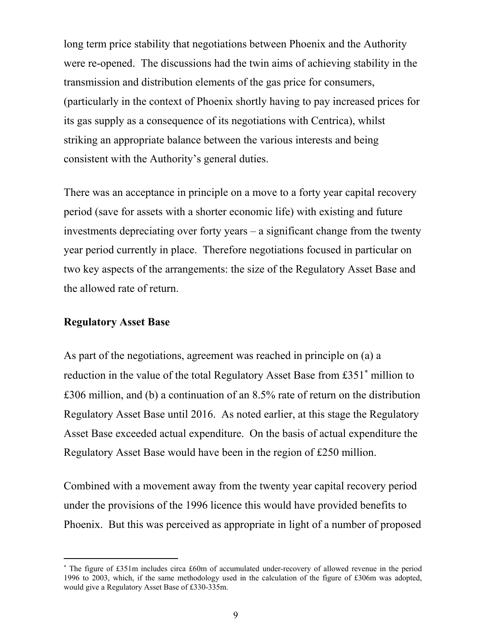long term price stability that negotiations between Phoenix and the Authority were re-opened. The discussions had the twin aims of achieving stability in the transmission and distribution elements of the gas price for consumers, (particularly in the context of Phoenix shortly having to pay increased prices for its gas supply as a consequence of its negotiations with Centrica), whilst striking an appropriate balance between the various interests and being consistent with the Authority's general duties.

There was an acceptance in principle on a move to a forty year capital recovery period (save for assets with a shorter economic life) with existing and future investments depreciating over forty years – a significant change from the twenty year period currently in place. Therefore negotiations focused in particular on two key aspects of the arrangements: the size of the Regulatory Asset Base and the allowed rate of return.

#### **Regulatory Asset Base**

l

As part of the negotiations, agreement was reached in principle on (a) a reduction in the value of the total Regulatory Asset Base from £351<sup>∗</sup> million to £306 million, and (b) a continuation of an 8.5% rate of return on the distribution Regulatory Asset Base until 2016. As noted earlier, at this stage the Regulatory Asset Base exceeded actual expenditure. On the basis of actual expenditure the Regulatory Asset Base would have been in the region of £250 million.

Combined with a movement away from the twenty year capital recovery period under the provisions of the 1996 licence this would have provided benefits to Phoenix. But this was perceived as appropriate in light of a number of proposed

<sup>∗</sup> The figure of £351m includes circa £60m of accumulated under-recovery of allowed revenue in the period 1996 to 2003, which, if the same methodology used in the calculation of the figure of £306m was adopted, would give a Regulatory Asset Base of £330-335m.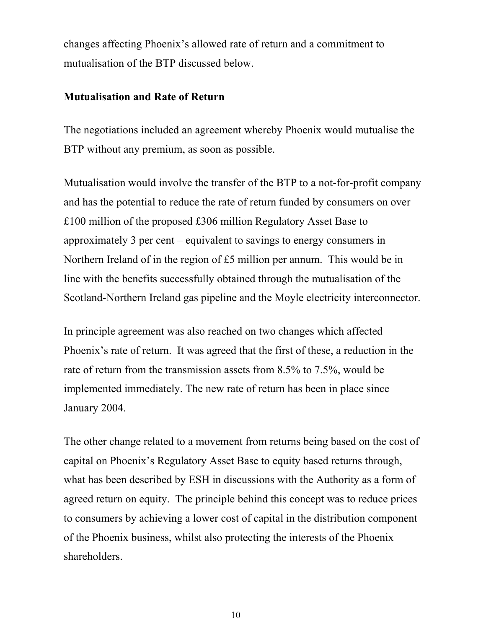changes affecting Phoenix's allowed rate of return and a commitment to mutualisation of the BTP discussed below.

### **Mutualisation and Rate of Return**

The negotiations included an agreement whereby Phoenix would mutualise the BTP without any premium, as soon as possible.

Mutualisation would involve the transfer of the BTP to a not-for-profit company and has the potential to reduce the rate of return funded by consumers on over £100 million of the proposed £306 million Regulatory Asset Base to approximately 3 per cent – equivalent to savings to energy consumers in Northern Ireland of in the region of £5 million per annum. This would be in line with the benefits successfully obtained through the mutualisation of the Scotland-Northern Ireland gas pipeline and the Moyle electricity interconnector.

In principle agreement was also reached on two changes which affected Phoenix's rate of return. It was agreed that the first of these, a reduction in the rate of return from the transmission assets from 8.5% to 7.5%, would be implemented immediately. The new rate of return has been in place since January 2004.

The other change related to a movement from returns being based on the cost of capital on Phoenix's Regulatory Asset Base to equity based returns through, what has been described by ESH in discussions with the Authority as a form of agreed return on equity. The principle behind this concept was to reduce prices to consumers by achieving a lower cost of capital in the distribution component of the Phoenix business, whilst also protecting the interests of the Phoenix shareholders.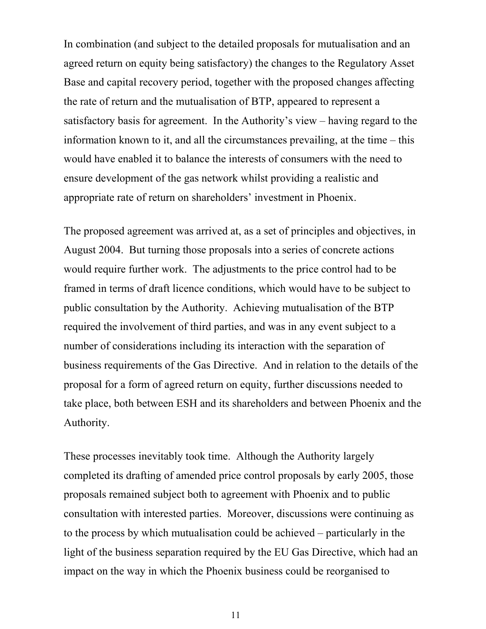In combination (and subject to the detailed proposals for mutualisation and an agreed return on equity being satisfactory) the changes to the Regulatory Asset Base and capital recovery period, together with the proposed changes affecting the rate of return and the mutualisation of BTP, appeared to represent a satisfactory basis for agreement. In the Authority's view – having regard to the information known to it, and all the circumstances prevailing, at the time – this would have enabled it to balance the interests of consumers with the need to ensure development of the gas network whilst providing a realistic and appropriate rate of return on shareholders' investment in Phoenix.

The proposed agreement was arrived at, as a set of principles and objectives, in August 2004. But turning those proposals into a series of concrete actions would require further work. The adjustments to the price control had to be framed in terms of draft licence conditions, which would have to be subject to public consultation by the Authority. Achieving mutualisation of the BTP required the involvement of third parties, and was in any event subject to a number of considerations including its interaction with the separation of business requirements of the Gas Directive. And in relation to the details of the proposal for a form of agreed return on equity, further discussions needed to take place, both between ESH and its shareholders and between Phoenix and the Authority.

These processes inevitably took time. Although the Authority largely completed its drafting of amended price control proposals by early 2005, those proposals remained subject both to agreement with Phoenix and to public consultation with interested parties. Moreover, discussions were continuing as to the process by which mutualisation could be achieved – particularly in the light of the business separation required by the EU Gas Directive, which had an impact on the way in which the Phoenix business could be reorganised to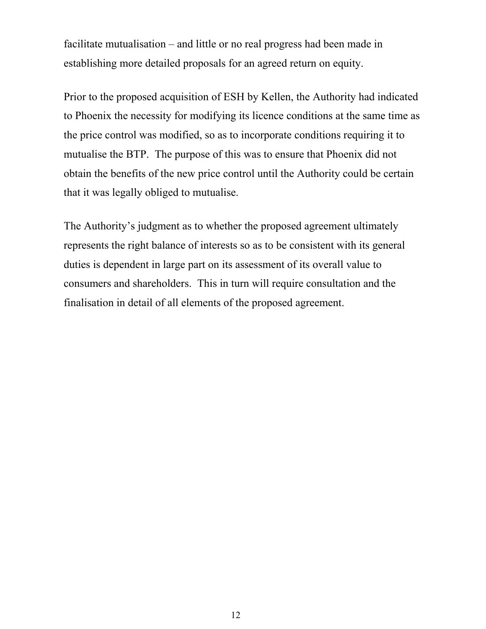facilitate mutualisation – and little or no real progress had been made in establishing more detailed proposals for an agreed return on equity.

Prior to the proposed acquisition of ESH by Kellen, the Authority had indicated to Phoenix the necessity for modifying its licence conditions at the same time as the price control was modified, so as to incorporate conditions requiring it to mutualise the BTP. The purpose of this was to ensure that Phoenix did not obtain the benefits of the new price control until the Authority could be certain that it was legally obliged to mutualise.

The Authority's judgment as to whether the proposed agreement ultimately represents the right balance of interests so as to be consistent with its general duties is dependent in large part on its assessment of its overall value to consumers and shareholders. This in turn will require consultation and the finalisation in detail of all elements of the proposed agreement.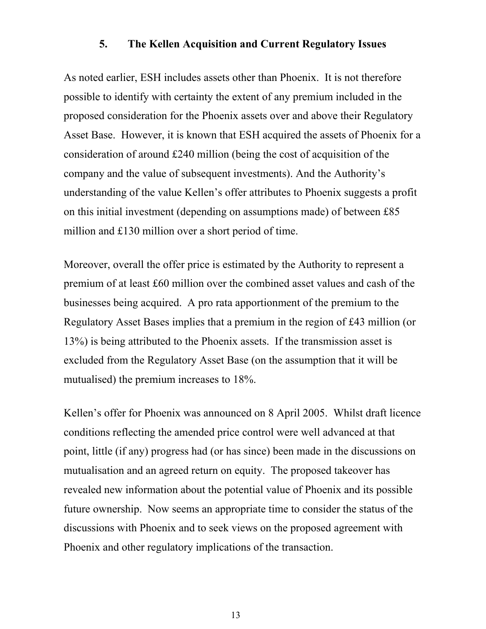### **5. The Kellen Acquisition and Current Regulatory Issues**

As noted earlier, ESH includes assets other than Phoenix. It is not therefore possible to identify with certainty the extent of any premium included in the proposed consideration for the Phoenix assets over and above their Regulatory Asset Base. However, it is known that ESH acquired the assets of Phoenix for a consideration of around £240 million (being the cost of acquisition of the company and the value of subsequent investments). And the Authority's understanding of the value Kellen's offer attributes to Phoenix suggests a profit on this initial investment (depending on assumptions made) of between £85 million and £130 million over a short period of time.

Moreover, overall the offer price is estimated by the Authority to represent a premium of at least £60 million over the combined asset values and cash of the businesses being acquired. A pro rata apportionment of the premium to the Regulatory Asset Bases implies that a premium in the region of £43 million (or 13%) is being attributed to the Phoenix assets. If the transmission asset is excluded from the Regulatory Asset Base (on the assumption that it will be mutualised) the premium increases to 18%.

Kellen's offer for Phoenix was announced on 8 April 2005. Whilst draft licence conditions reflecting the amended price control were well advanced at that point, little (if any) progress had (or has since) been made in the discussions on mutualisation and an agreed return on equity. The proposed takeover has revealed new information about the potential value of Phoenix and its possible future ownership. Now seems an appropriate time to consider the status of the discussions with Phoenix and to seek views on the proposed agreement with Phoenix and other regulatory implications of the transaction.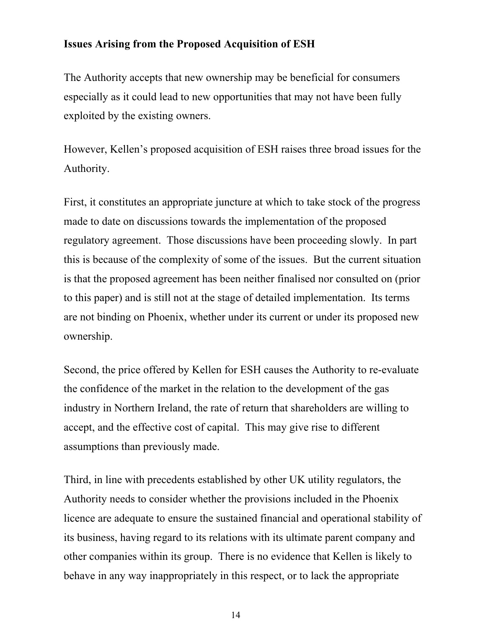### **Issues Arising from the Proposed Acquisition of ESH**

The Authority accepts that new ownership may be beneficial for consumers especially as it could lead to new opportunities that may not have been fully exploited by the existing owners.

However, Kellen's proposed acquisition of ESH raises three broad issues for the Authority.

First, it constitutes an appropriate juncture at which to take stock of the progress made to date on discussions towards the implementation of the proposed regulatory agreement. Those discussions have been proceeding slowly. In part this is because of the complexity of some of the issues. But the current situation is that the proposed agreement has been neither finalised nor consulted on (prior to this paper) and is still not at the stage of detailed implementation. Its terms are not binding on Phoenix, whether under its current or under its proposed new ownership.

Second, the price offered by Kellen for ESH causes the Authority to re-evaluate the confidence of the market in the relation to the development of the gas industry in Northern Ireland, the rate of return that shareholders are willing to accept, and the effective cost of capital. This may give rise to different assumptions than previously made.

Third, in line with precedents established by other UK utility regulators, the Authority needs to consider whether the provisions included in the Phoenix licence are adequate to ensure the sustained financial and operational stability of its business, having regard to its relations with its ultimate parent company and other companies within its group. There is no evidence that Kellen is likely to behave in any way inappropriately in this respect, or to lack the appropriate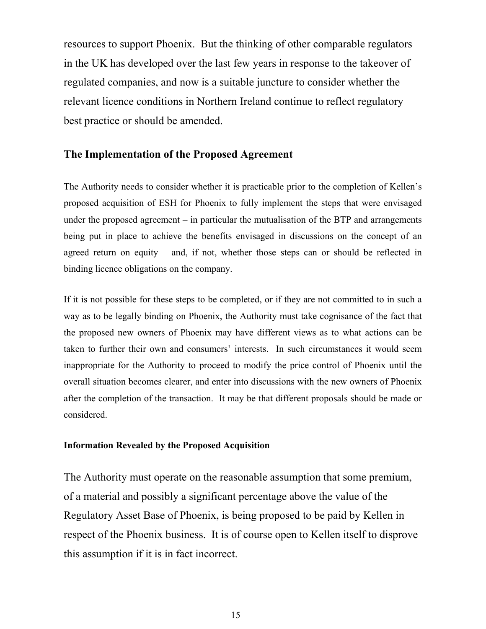resources to support Phoenix. But the thinking of other comparable regulators in the UK has developed over the last few years in response to the takeover of regulated companies, and now is a suitable juncture to consider whether the relevant licence conditions in Northern Ireland continue to reflect regulatory best practice or should be amended.

### **The Implementation of the Proposed Agreement**

The Authority needs to consider whether it is practicable prior to the completion of Kellen's proposed acquisition of ESH for Phoenix to fully implement the steps that were envisaged under the proposed agreement – in particular the mutualisation of the BTP and arrangements being put in place to achieve the benefits envisaged in discussions on the concept of an agreed return on equity – and, if not, whether those steps can or should be reflected in binding licence obligations on the company.

If it is not possible for these steps to be completed, or if they are not committed to in such a way as to be legally binding on Phoenix, the Authority must take cognisance of the fact that the proposed new owners of Phoenix may have different views as to what actions can be taken to further their own and consumers' interests. In such circumstances it would seem inappropriate for the Authority to proceed to modify the price control of Phoenix until the overall situation becomes clearer, and enter into discussions with the new owners of Phoenix after the completion of the transaction. It may be that different proposals should be made or considered.

#### **Information Revealed by the Proposed Acquisition**

The Authority must operate on the reasonable assumption that some premium, of a material and possibly a significant percentage above the value of the Regulatory Asset Base of Phoenix, is being proposed to be paid by Kellen in respect of the Phoenix business. It is of course open to Kellen itself to disprove this assumption if it is in fact incorrect.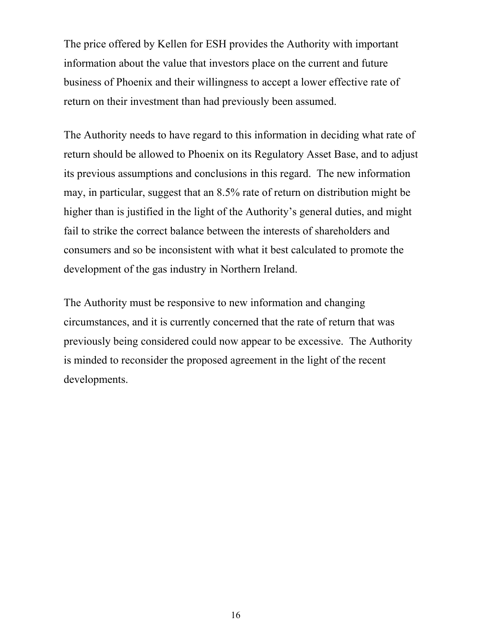The price offered by Kellen for ESH provides the Authority with important information about the value that investors place on the current and future business of Phoenix and their willingness to accept a lower effective rate of return on their investment than had previously been assumed.

The Authority needs to have regard to this information in deciding what rate of return should be allowed to Phoenix on its Regulatory Asset Base, and to adjust its previous assumptions and conclusions in this regard. The new information may, in particular, suggest that an 8.5% rate of return on distribution might be higher than is justified in the light of the Authority's general duties, and might fail to strike the correct balance between the interests of shareholders and consumers and so be inconsistent with what it best calculated to promote the development of the gas industry in Northern Ireland.

The Authority must be responsive to new information and changing circumstances, and it is currently concerned that the rate of return that was previously being considered could now appear to be excessive. The Authority is minded to reconsider the proposed agreement in the light of the recent developments.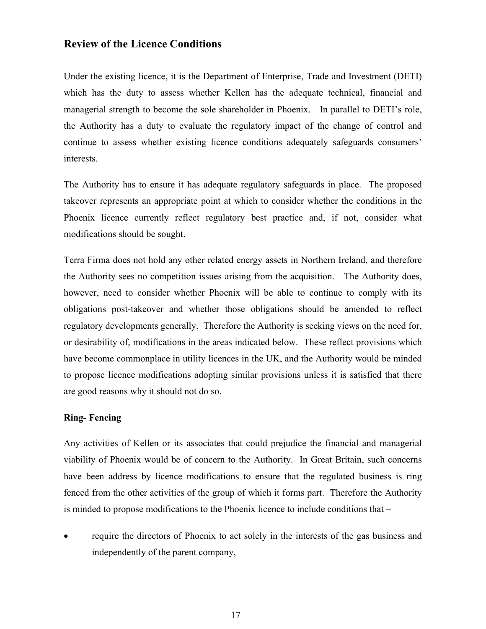### **Review of the Licence Conditions**

Under the existing licence, it is the Department of Enterprise, Trade and Investment (DETI) which has the duty to assess whether Kellen has the adequate technical, financial and managerial strength to become the sole shareholder in Phoenix. In parallel to DETI's role, the Authority has a duty to evaluate the regulatory impact of the change of control and continue to assess whether existing licence conditions adequately safeguards consumers' interests.

The Authority has to ensure it has adequate regulatory safeguards in place. The proposed takeover represents an appropriate point at which to consider whether the conditions in the Phoenix licence currently reflect regulatory best practice and, if not, consider what modifications should be sought.

Terra Firma does not hold any other related energy assets in Northern Ireland, and therefore the Authority sees no competition issues arising from the acquisition. The Authority does, however, need to consider whether Phoenix will be able to continue to comply with its obligations post-takeover and whether those obligations should be amended to reflect regulatory developments generally. Therefore the Authority is seeking views on the need for, or desirability of, modifications in the areas indicated below. These reflect provisions which have become commonplace in utility licences in the UK, and the Authority would be minded to propose licence modifications adopting similar provisions unless it is satisfied that there are good reasons why it should not do so.

#### **Ring- Fencing**

Any activities of Kellen or its associates that could prejudice the financial and managerial viability of Phoenix would be of concern to the Authority. In Great Britain, such concerns have been address by licence modifications to ensure that the regulated business is ring fenced from the other activities of the group of which it forms part. Therefore the Authority is minded to propose modifications to the Phoenix licence to include conditions that –

• require the directors of Phoenix to act solely in the interests of the gas business and independently of the parent company,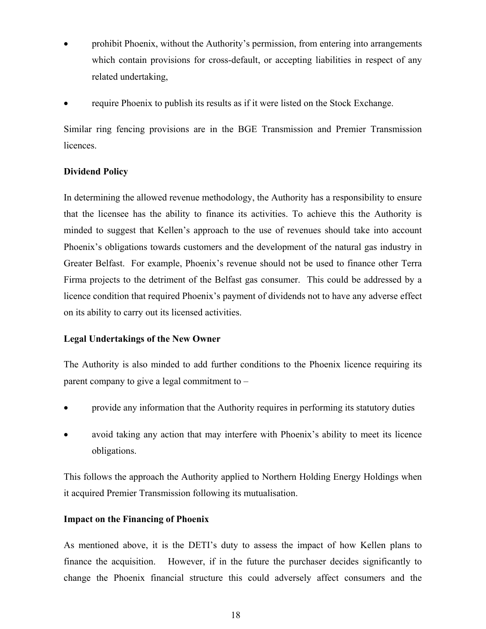- prohibit Phoenix, without the Authority's permission, from entering into arrangements which contain provisions for cross-default, or accepting liabilities in respect of any related undertaking,
- require Phoenix to publish its results as if it were listed on the Stock Exchange.

Similar ring fencing provisions are in the BGE Transmission and Premier Transmission licences.

### **Dividend Policy**

In determining the allowed revenue methodology, the Authority has a responsibility to ensure that the licensee has the ability to finance its activities. To achieve this the Authority is minded to suggest that Kellen's approach to the use of revenues should take into account Phoenix's obligations towards customers and the development of the natural gas industry in Greater Belfast. For example, Phoenix's revenue should not be used to finance other Terra Firma projects to the detriment of the Belfast gas consumer. This could be addressed by a licence condition that required Phoenix's payment of dividends not to have any adverse effect on its ability to carry out its licensed activities.

### **Legal Undertakings of the New Owner**

The Authority is also minded to add further conditions to the Phoenix licence requiring its parent company to give a legal commitment to –

- provide any information that the Authority requires in performing its statutory duties
- avoid taking any action that may interfere with Phoenix's ability to meet its licence obligations.

This follows the approach the Authority applied to Northern Holding Energy Holdings when it acquired Premier Transmission following its mutualisation.

### **Impact on the Financing of Phoenix**

As mentioned above, it is the DETI's duty to assess the impact of how Kellen plans to finance the acquisition. However, if in the future the purchaser decides significantly to change the Phoenix financial structure this could adversely affect consumers and the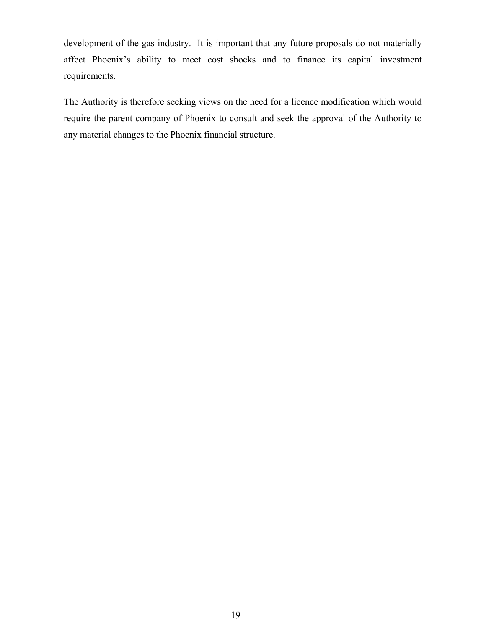development of the gas industry. It is important that any future proposals do not materially affect Phoenix's ability to meet cost shocks and to finance its capital investment requirements.

The Authority is therefore seeking views on the need for a licence modification which would require the parent company of Phoenix to consult and seek the approval of the Authority to any material changes to the Phoenix financial structure.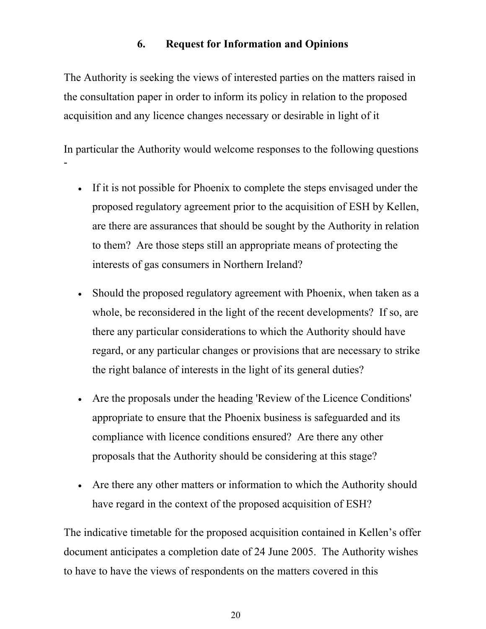# **6. Request for Information and Opinions**

The Authority is seeking the views of interested parties on the matters raised in the consultation paper in order to inform its policy in relation to the proposed acquisition and any licence changes necessary or desirable in light of it

In particular the Authority would welcome responses to the following questions -

- If it is not possible for Phoenix to complete the steps envisaged under the proposed regulatory agreement prior to the acquisition of ESH by Kellen, are there are assurances that should be sought by the Authority in relation to them? Are those steps still an appropriate means of protecting the interests of gas consumers in Northern Ireland?
- Should the proposed regulatory agreement with Phoenix, when taken as a whole, be reconsidered in the light of the recent developments? If so, are there any particular considerations to which the Authority should have regard, or any particular changes or provisions that are necessary to strike the right balance of interests in the light of its general duties?
- Are the proposals under the heading 'Review of the Licence Conditions' appropriate to ensure that the Phoenix business is safeguarded and its compliance with licence conditions ensured? Are there any other proposals that the Authority should be considering at this stage?
- Are there any other matters or information to which the Authority should have regard in the context of the proposed acquisition of ESH?

The indicative timetable for the proposed acquisition contained in Kellen's offer document anticipates a completion date of 24 June 2005. The Authority wishes to have to have the views of respondents on the matters covered in this